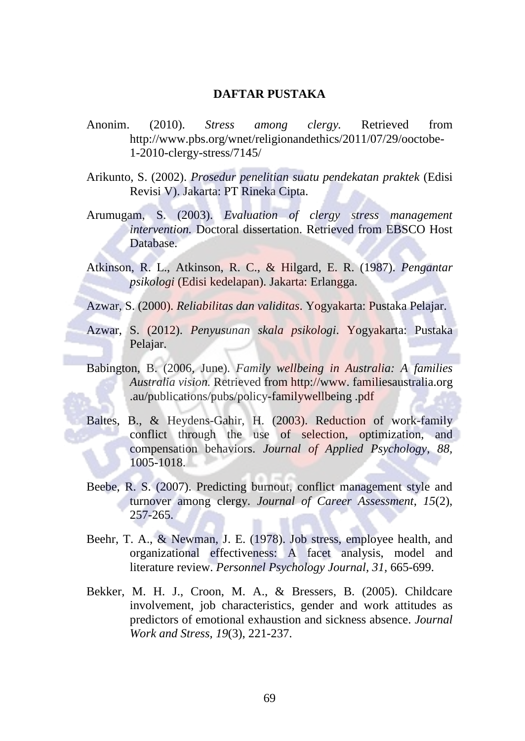## **DAFTAR PUSTAKA**

Anonim. (2010). *Stress among clergy.* Retrieved from http://www.pbs.org/wnet/religionandethics/2011/07/29/ooctobe-1-2010-clergy-stress/7145/

Arikunto, S. (2002). *Prosedur penelitian suatu pendekatan praktek* (Edisi Revisi V). Jakarta: PT Rineka Cipta.

- Arumugam, S. (2003). *Evaluation of clergy stress management intervention.* Doctoral dissertation. Retrieved from EBSCO Host Database.
- Atkinson, R. L., Atkinson, R. C., & Hilgard, E. R. (1987). *Pengantar psikologi* (Edisi kedelapan). Jakarta: Erlangga.
- Azwar, S. (2000). *Reliabilitas dan validitas*. Yogyakarta: Pustaka Pelajar.
- Azwar, S. (2012). *Penyusunan skala psikologi*. Yogyakarta: Pustaka Pelajar.
- Babington, B. (2006, June). *Family wellbeing in Australia: A families Australia vision.* Retrieved from http://www. familiesaustralia.org .au/publications/pubs/policy-familywellbeing .pdf
- Baltes, B., & Heydens-Gahir, H. (2003). Reduction of work-family conflict through the use of selection, optimization, and compensation behaviors. *Journal of Applied Psychology, 88,* 1005-1018.
- Beebe, R. S. (2007). Predicting burnout, conflict management style and turnover among clergy. *Journal of Career Assessment*, *15*(2), 257-265.
- Beehr, T. A., & Newman, J. E. (1978). Job stress, employee health, and organizational effectiveness: A facet analysis, model and literature review. *Personnel Psychology Journal, 31,* 665-699.
- Bekker, M. H. J., Croon, M. A., & Bressers, B. (2005). Childcare involvement, job characteristics, gender and work attitudes as predictors of emotional exhaustion and sickness absence. *Journal Work and Stress, 19*(3), 221-237.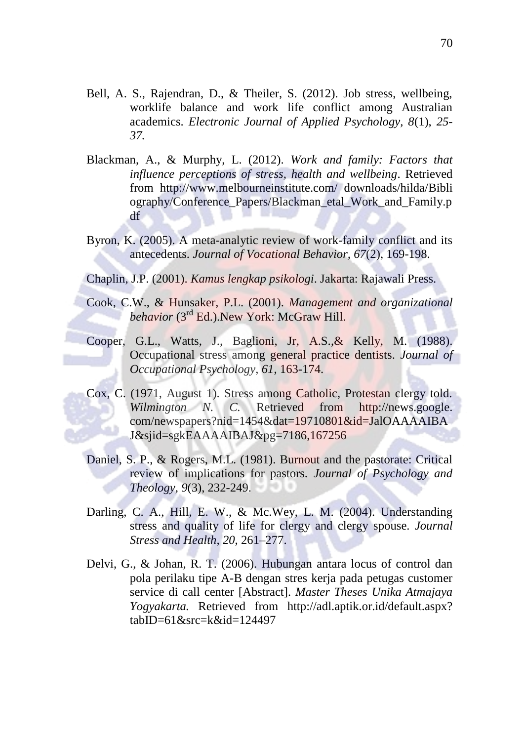- Bell, A. S., Rajendran, D., & Theiler, S. (2012). Job stress, wellbeing, worklife balance and work life conflict among Australian academics. *Electronic Journal of Applied Psychology, 8*(1), *25- 37.*
- Blackman, A., & Murphy, L. (2012). *Work and family: Factors that influence perceptions of stress, health and wellbeing*. Retrieved from http://www.melbourneinstitute.com/ downloads/hilda/Bibli ography/Conference\_Papers/Blackman\_etal\_Work\_and\_Family.p df
- Byron, K. (2005). A meta-analytic review of work-family conflict and its antecedents. *Journal of Vocational Behavior, 67*(2), 169-198.

Chaplin, J.P. (2001). *Kamus lengkap psikologi*. Jakarta: Rajawali Press.

- Cook, C.W., & Hunsaker, P.L. (2001). *Management and organizational*  behavior (3<sup>rd</sup> Ed.).New York: McGraw Hill.
- Cooper, G.L., Watts, J., Baglioni, Jr, A.S.,& Kelly, M. (1988). Occupational stress among general practice dentists. *Journal of Occupational Psychology, 61*, 163-174.
- Cox, C. (1971, August 1). Stress among Catholic, Protestan clergy told. *Wilmington N. C.* Retrieved from http://news.google. com/newspapers?nid=1454&dat=19710801&id=JalOAAAAIBA J&sjid=sgkEAAAAIBAJ&pg=7186,167256
- Daniel, S. P., & Rogers, M.L. (1981). Burnout and the pastorate: Critical review of implications for pastors. *Journal of Psychology and Theology, 9*(3), 232-249.
- Darling, C. A., Hill, E. W., & Mc.Wey, L. M. (2004). Understanding stress and quality of life for clergy and clergy spouse. *Journal Stress and Health, 20*, 261–277.
- Delvi, G., & Johan, R. T. (2006). Hubungan antara locus of control dan pola perilaku tipe A-B dengan stres kerja pada petugas customer service di call center [Abstract]. *Master Theses Unika Atmajaya Yogyakarta.* Retrieved from http://adl.aptik.or.id/default.aspx?  $tabID=61$ &src=k&id=124497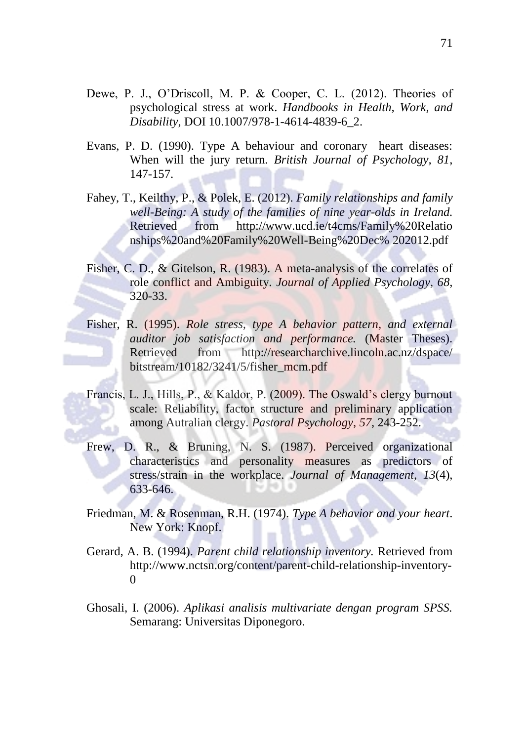- Dewe, P. J., O'Driscoll, M. P. & Cooper, C. L. (2012). Theories of psychological stress at work. *Handbooks in Health, Work, and Disability*, DOI 10.1007/978-1-4614-4839-6\_2.
- Evans, P. D. (1990). Type A behaviour and coronary heart diseases: When will the jury return. *British Journal of Psychology, 81*, 147-157.
- Fahey, T., Keilthy, P., & Polek, E. (2012). *Family relationships and family well-Being: A study of the families of nine year-olds in Ireland.*  Retrieved from http://www.ucd.ie/t4cms/Family%20Relatio nships%20and%20Family%20Well-Being%20Dec% 202012.pdf
- Fisher, C. D., & Gitelson, R. (1983). A meta-analysis of the correlates of role conflict and Ambiguity. *Journal of Applied Psychology, 68,* 320-33.
- Fisher, R. (1995). *Role stress, type A behavior pattern, and external auditor job satisfaction and performance.* (Master Theses). Retrieved from http://researcharchive.lincoln.ac.nz/dspace/ bitstream/10182/3241/5/fisher\_mcm.pdf
- Francis, L. J., Hills, P., & Kaldor, P. (2009). The Oswald's clergy burnout scale: Reliability, factor structure and preliminary application among Autralian clergy. *Pastoral Psychology*, *57*, 243-252.
- Frew, D. R., & Bruning, N. S. (1987). Perceived organizational characteristics and personality measures as predictors of stress/strain in the workplace. *Journal of Management, 13*(4), 633-646.
- Friedman, M. & Rosenman, R.H. (1974). *Type A behavior and your heart*. New York: Knopf.
- Gerard, A. B. (1994). *Parent child relationship inventory.* Retrieved from http://www.nctsn.org/content/parent-child-relationship-inventory- $\Omega$
- Ghosali, I. (2006). *Aplikasi analisis multivariate dengan program SPSS.* Semarang: Universitas Diponegoro.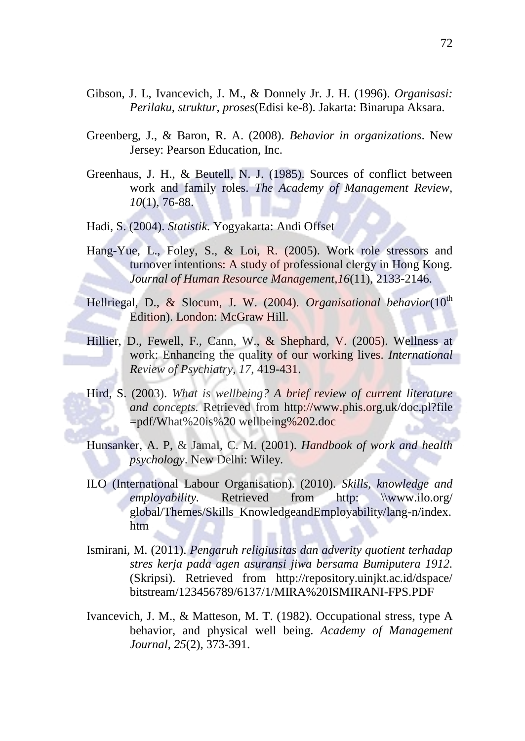- Gibson, J. L, Ivancevich, J. M., & Donnely Jr. J. H. (1996). *Organisasi: Perilaku, struktur, proses*(Edisi ke-8). Jakarta: Binarupa Aksara.
- Greenberg, J., & Baron, R. A. (2008). *Behavior in organizations*. New Jersey: Pearson Education, Inc.
- Greenhaus, J. H., & Beutell, N. J. (1985). Sources of conflict between work and family roles. *The Academy of Management Review, 10*(1), 76-88.

Hadi, S. (2004). *Statistik.* Yogyakarta: Andi Offset

Hang-Yue, L., Foley, S., & Loi, R. (2005). Work role stressors and turnover intentions: A study of professional clergy in Hong Kong. *Journal of Human Resource Management,16*(11), 2133-2146.

Hellriegal, D., & Slocum, J. W. (2004). *Organisational behavior*(10<sup>th</sup> Edition). London: McGraw Hill.

- Hillier, D., Fewell, F., Cann, W., & Shephard, V. (2005). Wellness at work: Enhancing the quality of our working lives. *International Review of Psychiatry*, *17*, 419-431.
- Hird, S. (2003). *What is wellbeing? A brief review of current literature and concepts.* Retrieved from http://www.phis.org.uk/doc.pl?file =pdf/What%20is%20 wellbeing%202.doc
- Hunsanker, A. P, & Jamal, C. M. (2001). *Handbook of work and health psychology*. New Delhi: Wiley.
- ILO (International Labour Organisation). (2010). *Skills, knowledge and employability.* Retrieved from http: \\www.ilo.org/ global/Themes/Skills\_KnowledgeandEmployability/lang-n/index. htm
- Ismirani, M. (2011). *Pengaruh religiusitas dan adverity quotient terhadap stres kerja pada agen asuransi jiwa bersama Bumiputera 1912.* (Skripsi). Retrieved from http://repository.uinjkt.ac.id/dspace/ bitstream/123456789/6137/1/MIRA%20ISMIRANI-FPS.PDF
- Ivancevich, J. M., & Matteson, M. T. (1982). Occupational stress, type A behavior, and physical well being. *Academy of Management Journal*, *25*(2), 373-391.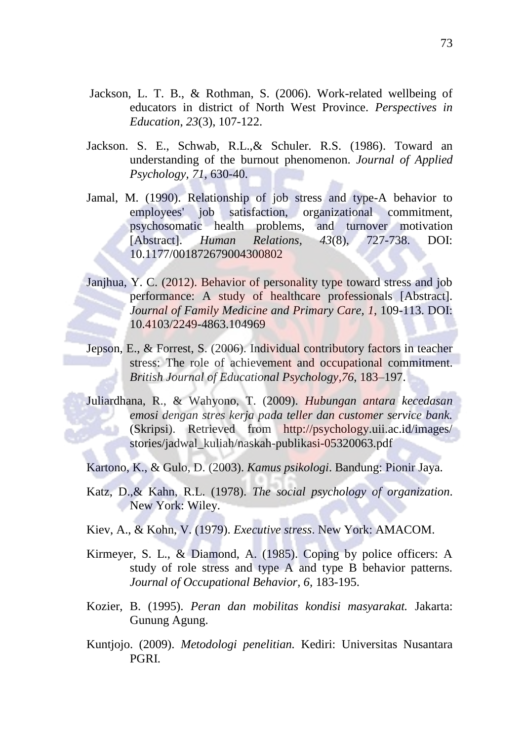- Jackson, L. T. B., & Rothman, S. (2006). Work-related wellbeing of educators in district of North West Province. *Perspectives in Education*, *23*(3), 107-122.
- Jackson. S. E., Schwab, R.L.,& Schuler. R.S. (1986). Toward an understanding of the burnout phenomenon. *Journal of Applied Psychology, 71*, 630-40.
- Jamal, M. (1990). Relationship of job stress and type-A behavior to employees' job satisfaction, organizational commitment, psychosomatic health problems, and turnover motivation [Abstract]. *Human Relations, 43*(8), 727-738. DOI: 10.1177/001872679004300802
- Janjhua, Y. C. (2012). Behavior of personality type toward stress and job performance: A study of healthcare professionals [Abstract]. *Journal of Family Medicine and Primary Care, 1*, 109-113. DOI: 10.4103/2249-4863.104969
- Jepson, E., & Forrest, S. (2006). Individual contributory factors in teacher stress: The role of achievement and occupational commitment. *British Journal of Educational Psychology,76*, 183–197.
- Juliardhana, R., & Wahyono, T. (2009). *Hubungan antara kecedasan emosi dengan stres kerja pada teller dan customer service bank.* (Skripsi). Retrieved from http://psychology.uii.ac.id/images/ stories/jadwal\_kuliah/naskah-publikasi-05320063.pdf

Kartono, K., & Gulo, D. (2003). *Kamus psikologi*. Bandung: Pionir Jaya.

- Katz, D.,& Kahn, R.L. (1978). *The social psychology of organization*. New York: Wiley.
- Kiev, A., & Kohn, V. (1979). *Executive stress*. New York: AMACOM.
- Kirmeyer, S. L., & Diamond, A. (1985). Coping by police officers: A study of role stress and type A and type B behavior patterns. *Journal of Occupational Behavior, 6,* 183-195.
- Kozier, B. (1995). *Peran dan mobilitas kondisi masyarakat.* Jakarta: Gunung Agung.
- Kuntjojo. (2009). *Metodologi penelitian.* Kediri: Universitas Nusantara PGRI.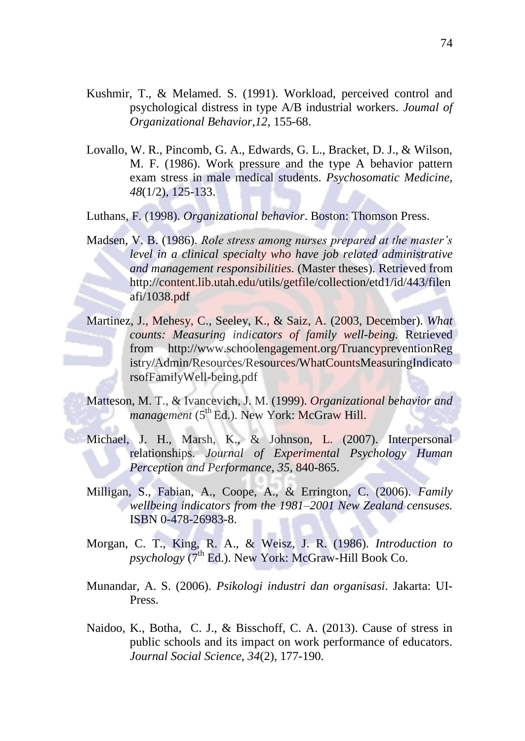- Kushmir, T., & Melamed. S. (1991). Workload, perceived control and psychological distress in type A/B industrial workers. *Joumal of Organizational Behavior,12,* 155-68.
- Lovallo, W. R., Pincomb, G. A., Edwards, G. L., Bracket, D. J., & Wilson, M. F. (1986). Work pressure and the type A behavior pattern exam stress in male medical students. *Psychosomatic Medicine, 48*(1/2), 125-133.

Luthans, F. (1998). *Organizational behavior*. Boston: Thomson Press.

- Madsen, V. B. (1986). *Role stress among nurses prepared at the master's level in a clinical specialty who have job related administrative and management responsibilities.* (Master theses). Retrieved from http://content.lib.utah.edu/utils/getfile/collection/etd1/id/443/filen afi/1038.pdf
- Martinez, J., Mehesy, C., Seeley, K., & Saiz, A. (2003, December). *What counts: Measuring indicators of family well-being.* Retrieved from http://www.schoolengagement.org/TruancypreventionReg istry/Admin/Resources/Resources/WhatCountsMeasuringIndicato rsofFamilyWell-being.pdf
- Matteson, M. T., & Ivancevich, J. M. (1999). *Organizational behavior and management* (5<sup>th</sup> Ed.). New York: McGraw Hill.
- Michael, J. H., Marsh, K., & Johnson, L. (2007). Interpersonal relationships. *Journal of Experimental Psychology Human Perception and Performance*, *35*, 840-865.
- Milligan, S., Fabian, A., Coope, A., & Errington, C. (2006). *Family wellbeing indicators from the 1981–2001 New Zealand censuses.*  ISBN 0-478-26983-8.
- Morgan, C. T., King, R. A., & Weisz, J. R. (1986). *Introduction to*   $p$ *sychology* ( $7<sup>th</sup>$  Ed.). New York: McGraw-Hill Book Co.
- Munandar, A. S. (2006). *Psikologi industri dan organisasi*. Jakarta: UI-Press.
- Naidoo, K., Botha, C. J., & Bisschoff, C. A. (2013). Cause of stress in public schools and its impact on work performance of educators. *Journal Social Science, 34*(2), 177-190.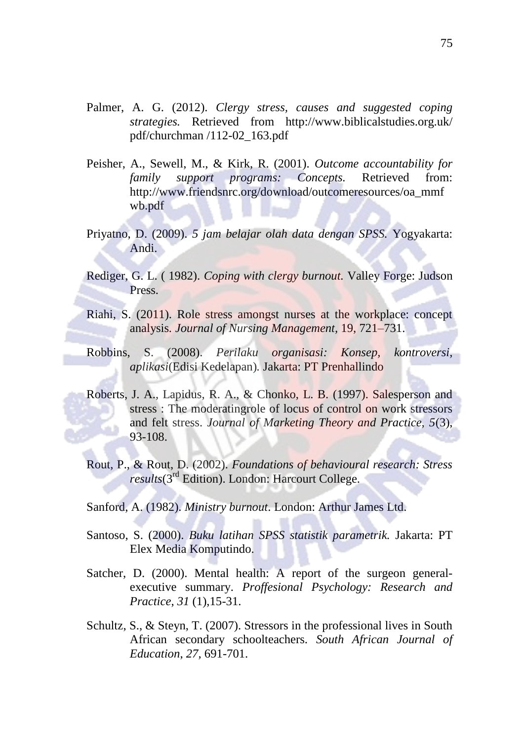- Palmer, A. G. (2012). *Clergy stress, causes and suggested coping strategies.* Retrieved from http://www.biblicalstudies.org.uk/ pdf/churchman /112-02\_163.pdf
- Peisher, A., Sewell, M., & Kirk, R. (2001). *Outcome accountability for family support programs: Concepts.* Retrieved from: http://www.friendsnrc.org/download/outcomeresources/oa\_mmf wb.pdf
- Priyatno, D. (2009). *5 jam belajar olah data dengan SPSS.* Yogyakarta: Andi.
- Rediger, G. L. ( 1982). *Coping with clergy burnout.* Valley Forge: Judson Press.
- Riahi, S. (2011). Role stress amongst nurses at the workplace: concept analysis*. Journal of Nursing Management,* 19, 721–731.
- Robbins, S. (2008). *Perilaku organisasi: Konsep, kontroversi, aplikasi*(Edisi Kedelapan)*.* Jakarta: PT Prenhallindo
- Roberts, J. A., Lapidus, R. A., & Chonko, L. B. (1997). Salesperson and stress : The moderatingrole of locus of control on work stressors and felt stress. *Journal of Marketing Theory and Practice, 5*(3), 93-108.
- Rout, P., & Rout, D. (2002). *Foundations of behavioural research: Stress results*(3rd Edition). London: Harcourt College.
- Sanford, A. (1982). *Ministry burnout*. London: Arthur James Ltd.
- Santoso, S. (2000). *Buku latihan SPSS statistik parametrik.* Jakarta: PT Elex Media Komputindo.
- Satcher, D. (2000). Mental health: A report of the surgeon generalexecutive summary. *Proffesional Psychology: Research and Practice*, *31* (1),15-31.
- Schultz, S., & Steyn, T. (2007). Stressors in the professional lives in South African secondary schoolteachers. *South African Journal of Education*, *27,* 691-701.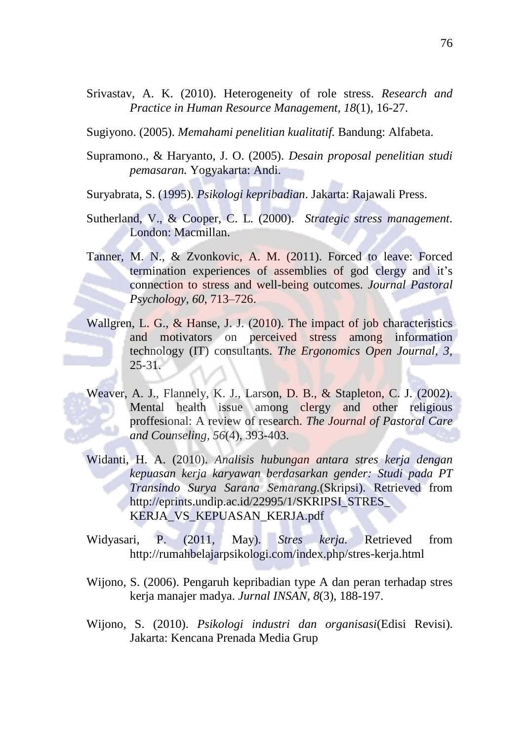Srivastav, A. K. (2010). Heterogeneity of role stress. *Research and Practice in Human Resource Management, 18*(1), 16-27.

Sugiyono. (2005). *Memahami penelitian kualitatif.* Bandung: Alfabeta.

Supramono., & Haryanto, J. O. (2005). *Desain proposal penelitian studi pemasaran.* Yogyakarta: Andi.

Suryabrata, S. (1995). *Psikologi kepribadian*. Jakarta: Rajawali Press.

- Sutherland, V., & Cooper, C. L. (2000). *Strategic stress management*. London: Macmillan.
- Tanner, M. N., & Zvonkovic, A. M. (2011). Forced to leave: Forced termination experiences of assemblies of god clergy and it's connection to stress and well-being outcomes. *Journal Pastoral Psychology, 60*, 713–726.
- Wallgren, L. G., & Hanse, J. J. (2010). The impact of job characteristics and motivators on perceived stress among information technology (IT) consultants. *The Ergonomics Open Journal, 3*, 25-31.
- Weaver, A. J., Flannely, K. J., Larson, D. B., & Stapleton, C. J. (2002). Mental health issue among clergy and other religious proffesional: A review of research. *The Journal of Pastoral Care and Counseling, 56*(4), 393-403.
- Widanti, H. A. (2010). *Analisis hubungan antara stres kerja dengan kepuasan kerja karyawan berdasarkan gender: Studi pada PT Transindo Surya Sarana Semarang.*(Skripsi). Retrieved from http://eprints.undip.ac.id/22995/1/SKRIPSI\_STRES\_ [KERJA\\_VS\\_KEPUASAN\\_KERJA.pdf](http://eprints.undip.ac.id/22995/1/SKRIPSI_STRES_%20KERJA_VS_KEPUASAN_KERJA.pdf)
- Widyasari, P. (2011, May). *Stres kerja.* Retrieved from <http://rumahbelajarpsikologi.com/index.php/stres-kerja.html>
- Wijono, S. (2006). Pengaruh kepribadian type A dan peran terhadap stres kerja manajer madya. *Jurnal INSAN*, *8*(3), 188-197.
- Wijono, S. (2010). *Psikologi industri dan organisasi*(Edisi Revisi). Jakarta: Kencana Prenada Media Grup